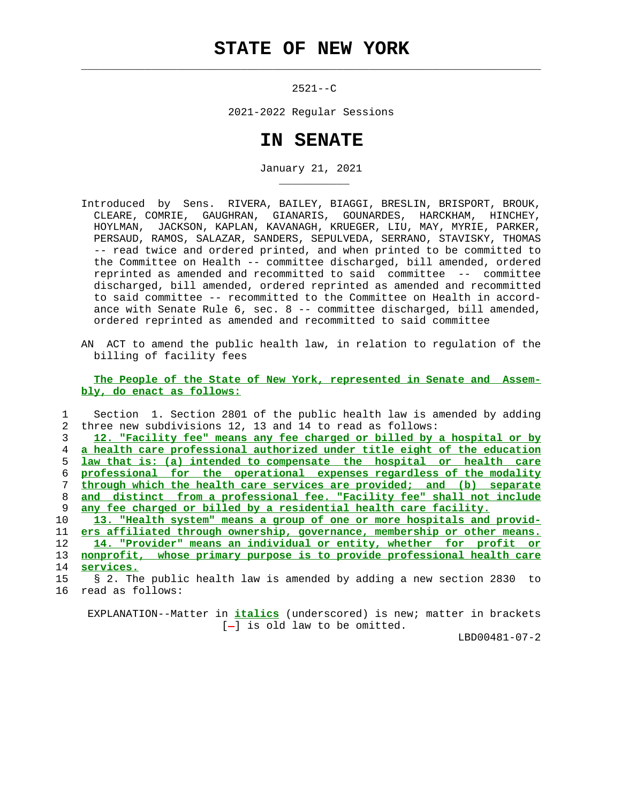## **STATE OF NEW YORK**

 $\mathcal{L}_\text{max} = \frac{1}{2} \sum_{i=1}^{n} \frac{1}{2} \sum_{i=1}^{n} \frac{1}{2} \sum_{i=1}^{n} \frac{1}{2} \sum_{i=1}^{n} \frac{1}{2} \sum_{i=1}^{n} \frac{1}{2} \sum_{i=1}^{n} \frac{1}{2} \sum_{i=1}^{n} \frac{1}{2} \sum_{i=1}^{n} \frac{1}{2} \sum_{i=1}^{n} \frac{1}{2} \sum_{i=1}^{n} \frac{1}{2} \sum_{i=1}^{n} \frac{1}{2} \sum_{i=1}^{n} \frac{1$ 

\_\_\_\_\_\_\_\_\_\_\_

 $2521--C$ 

2021-2022 Regular Sessions

## **IN SENATE**

January 21, 2021

- Introduced by Sens. RIVERA, BAILEY, BIAGGI, BRESLIN, BRISPORT, BROUK, CLEARE, COMRIE, GAUGHRAN, GIANARIS, GOUNARDES, HARCKHAM, HINCHEY, HOYLMAN, JACKSON, KAPLAN, KAVANAGH, KRUEGER, LIU, MAY, MYRIE, PARKER, PERSAUD, RAMOS, SALAZAR, SANDERS, SEPULVEDA, SERRANO, STAVISKY, THOMAS -- read twice and ordered printed, and when printed to be committed to the Committee on Health -- committee discharged, bill amended, ordered reprinted as amended and recommitted to said committee -- committee discharged, bill amended, ordered reprinted as amended and recommitted to said committee -- recommitted to the Committee on Health in accord ance with Senate Rule 6, sec. 8 -- committee discharged, bill amended, ordered reprinted as amended and recommitted to said committee
- AN ACT to amend the public health law, in relation to regulation of the billing of facility fees

 **The People of the State of New York, represented in Senate and Assem bly, do enact as follows:**

 1 Section 1. Section 2801 of the public health law is amended by adding 2 three new subdivisions 12, 13 and 14 to read as follows:

**12. "Facility fee" means any fee charged or billed by a hospital or by a health care professional authorized under title eight of the education law that is: (a) intended to compensate the hospital or health care professional for the operational expenses regardless of the modality through which the health care services are provided; and (b) separate and distinct from a professional fee. "Facility fee" shall not include any fee charged or billed by a residential health care facility.**

**13. "Health system" means a group of one or more hospitals and provid- ers affiliated through ownership, governance, membership or other means. 14. "Provider" means an individual or entity, whether for profit or nonprofit, whose primary purpose is to provide professional health care services.**

 EXPLANATION--Matter in **italics** (underscored) is new; matter in brackets  $[-]$  is old law to be omitted.

LBD00481-07-2

 <sup>15 § 2.</sup> The public health law is amended by adding a new section 2830 to 16 read as follows: